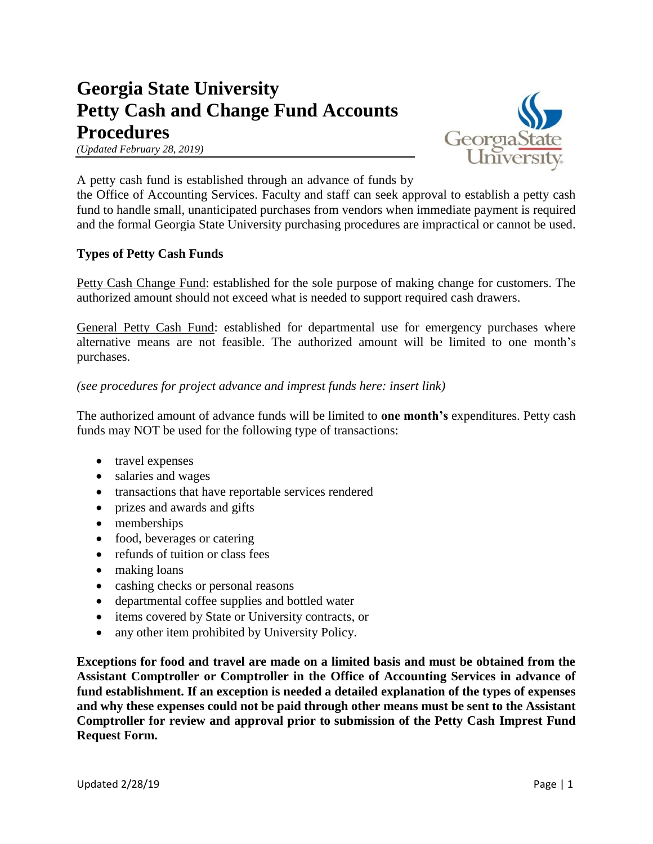# **Georgia State University Petty Cash and Change Fund Accounts Procedures**





A petty cash fund is established through an advance of funds by

the Office of Accounting Services. Faculty and staff can seek approval to establish a petty cash fund to handle small, unanticipated purchases from vendors when immediate payment is required and the formal Georgia State University purchasing procedures are impractical or cannot be used.

### **Types of Petty Cash Funds**

Petty Cash Change Fund: established for the sole purpose of making change for customers. The authorized amount should not exceed what is needed to support required cash drawers.

General Petty Cash Fund: established for departmental use for emergency purchases where alternative means are not feasible. The authorized amount will be limited to one month's purchases.

*(see procedures for project advance and imprest funds here: insert link)*

The authorized amount of advance funds will be limited to **one month's** expenditures. Petty cash funds may NOT be used for the following type of transactions:

- travel expenses
- salaries and wages
- transactions that have reportable services rendered
- prizes and awards and gifts
- memberships
- food, beverages or catering
- refunds of tuition or class fees
- making loans
- cashing checks or personal reasons
- departmental coffee supplies and bottled water
- items covered by State or University contracts, or
- any other item prohibited by University Policy.

**Exceptions for food and travel are made on a limited basis and must be obtained from the Assistant Comptroller or Comptroller in the Office of Accounting Services in advance of fund establishment. If an exception is needed a detailed explanation of the types of expenses and why these expenses could not be paid through other means must be sent to the Assistant Comptroller for review and approval prior to submission of the Petty Cash Imprest Fund Request Form.**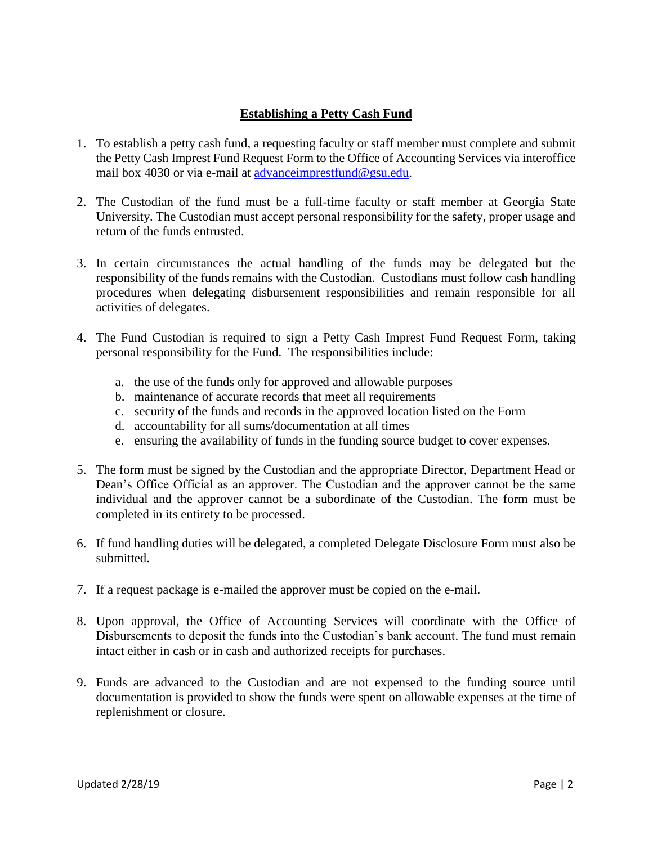## **Establishing a Petty Cash Fund**

- 1. To establish a petty cash fund, a requesting faculty or staff member must complete and submit the Petty Cash Imprest Fund Request Form to the Office of Accounting Services via interoffice mail box 4030 or via e-mail at advance imprestfund@gsu.edu.
- 2. The Custodian of the fund must be a full-time faculty or staff member at Georgia State University. The Custodian must accept personal responsibility for the safety, proper usage and return of the funds entrusted.
- 3. In certain circumstances the actual handling of the funds may be delegated but the responsibility of the funds remains with the Custodian. Custodians must follow cash handling procedures when delegating disbursement responsibilities and remain responsible for all activities of delegates.
- 4. The Fund Custodian is required to sign a Petty Cash Imprest Fund Request Form, taking personal responsibility for the Fund. The responsibilities include:
	- a. the use of the funds only for approved and allowable purposes
	- b. maintenance of accurate records that meet all requirements
	- c. security of the funds and records in the approved location listed on the Form
	- d. accountability for all sums/documentation at all times
	- e. ensuring the availability of funds in the funding source budget to cover expenses.
- 5. The form must be signed by the Custodian and the appropriate Director, Department Head or Dean's Office Official as an approver. The Custodian and the approver cannot be the same individual and the approver cannot be a subordinate of the Custodian. The form must be completed in its entirety to be processed.
- 6. If fund handling duties will be delegated, a completed Delegate Disclosure Form must also be submitted.
- 7. If a request package is e-mailed the approver must be copied on the e-mail.
- 8. Upon approval, the Office of Accounting Services will coordinate with the Office of Disbursements to deposit the funds into the Custodian's bank account. The fund must remain intact either in cash or in cash and authorized receipts for purchases.
- 9. Funds are advanced to the Custodian and are not expensed to the funding source until documentation is provided to show the funds were spent on allowable expenses at the time of replenishment or closure.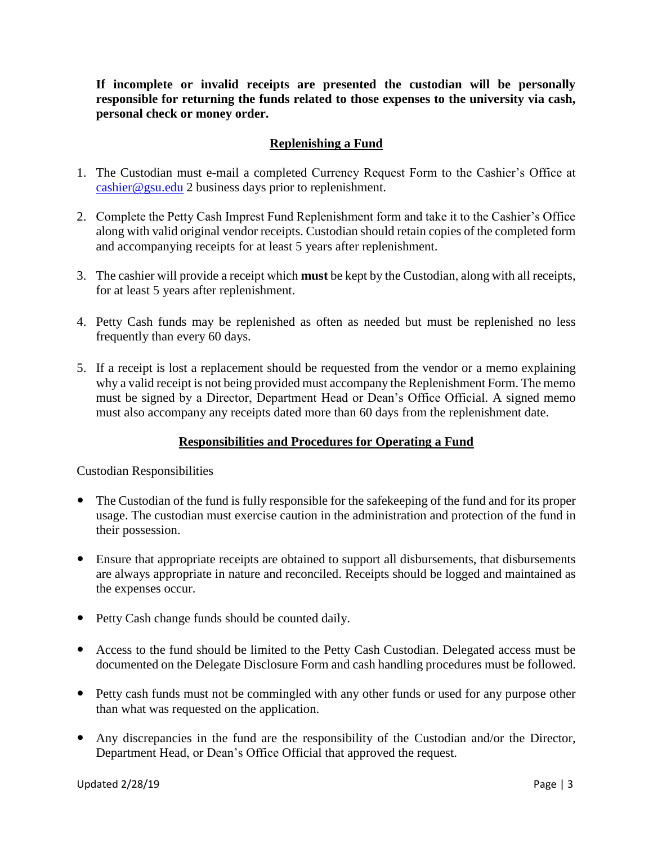**If incomplete or invalid receipts are presented the custodian will be personally responsible for returning the funds related to those expenses to the university via cash, personal check or money order.** 

## **Replenishing a Fund**

- 1. The Custodian must e-mail a completed Currency Request Form to the Cashier's Office at [cashier@gsu.edu](mailto:cashier@gsu.edu) 2 business days prior to replenishment.
- 2. Complete the Petty Cash Imprest Fund Replenishment form and take it to the Cashier's Office along with valid original vendor receipts. Custodian should retain copies of the completed form and accompanying receipts for at least 5 years after replenishment.
- 3. The cashier will provide a receipt which **must** be kept by the Custodian, along with all receipts, for at least 5 years after replenishment.
- 4. Petty Cash funds may be replenished as often as needed but must be replenished no less frequently than every 60 days.
- 5. If a receipt is lost a replacement should be requested from the vendor or a memo explaining why a valid receipt is not being provided must accompany the Replenishment Form. The memo must be signed by a Director, Department Head or Dean's Office Official. A signed memo must also accompany any receipts dated more than 60 days from the replenishment date.

## **Responsibilities and Procedures for Operating a Fund**

Custodian Responsibilities

- The Custodian of the fund is fully responsible for the safekeeping of the fund and for its proper usage. The custodian must exercise caution in the administration and protection of the fund in their possession.
- Ensure that appropriate receipts are obtained to support all disbursements, that disbursements are always appropriate in nature and reconciled. Receipts should be logged and maintained as the expenses occur.
- Petty Cash change funds should be counted daily.
- Access to the fund should be limited to the Petty Cash Custodian. Delegated access must be documented on the Delegate Disclosure Form and cash handling procedures must be followed.
- Petty cash funds must not be commingled with any other funds or used for any purpose other than what was requested on the application.
- Any discrepancies in the fund are the responsibility of the Custodian and/or the Director, Department Head, or Dean's Office Official that approved the request.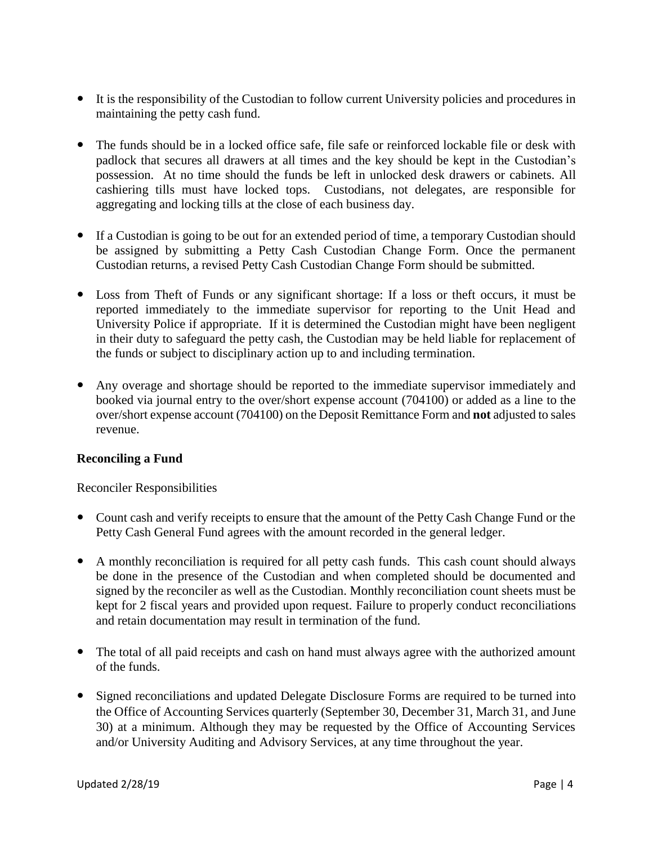- It is the responsibility of the Custodian to follow current University policies and procedures in maintaining the petty cash fund.
- The funds should be in a locked office safe, file safe or reinforced lockable file or desk with padlock that secures all drawers at all times and the key should be kept in the Custodian's possession. At no time should the funds be left in unlocked desk drawers or cabinets. All cashiering tills must have locked tops. Custodians, not delegates, are responsible for aggregating and locking tills at the close of each business day.
- If a Custodian is going to be out for an extended period of time, a temporary Custodian should be assigned by submitting a Petty Cash Custodian Change Form. Once the permanent Custodian returns, a revised Petty Cash Custodian Change Form should be submitted.
- Loss from Theft of Funds or any significant shortage: If a loss or theft occurs, it must be reported immediately to the immediate supervisor for reporting to the Unit Head and University Police if appropriate. If it is determined the Custodian might have been negligent in their duty to safeguard the petty cash, the Custodian may be held liable for replacement of the funds or subject to disciplinary action up to and including termination.
- Any overage and shortage should be reported to the immediate supervisor immediately and booked via journal entry to the over/short expense account (704100) or added as a line to the over/short expense account (704100) on the Deposit Remittance Form and **not** adjusted to sales revenue.

## **Reconciling a Fund**

Reconciler Responsibilities

- Count cash and verify receipts to ensure that the amount of the Petty Cash Change Fund or the Petty Cash General Fund agrees with the amount recorded in the general ledger.
- A monthly reconciliation is required for all petty cash funds. This cash count should always be done in the presence of the Custodian and when completed should be documented and signed by the reconciler as well as the Custodian. Monthly reconciliation count sheets must be kept for 2 fiscal years and provided upon request. Failure to properly conduct reconciliations and retain documentation may result in termination of the fund.
- The total of all paid receipts and cash on hand must always agree with the authorized amount of the funds.
- Signed reconciliations and updated Delegate Disclosure Forms are required to be turned into the Office of Accounting Services quarterly (September 30, December 31, March 31, and June 30) at a minimum. Although they may be requested by the Office of Accounting Services and/or University Auditing and Advisory Services, at any time throughout the year.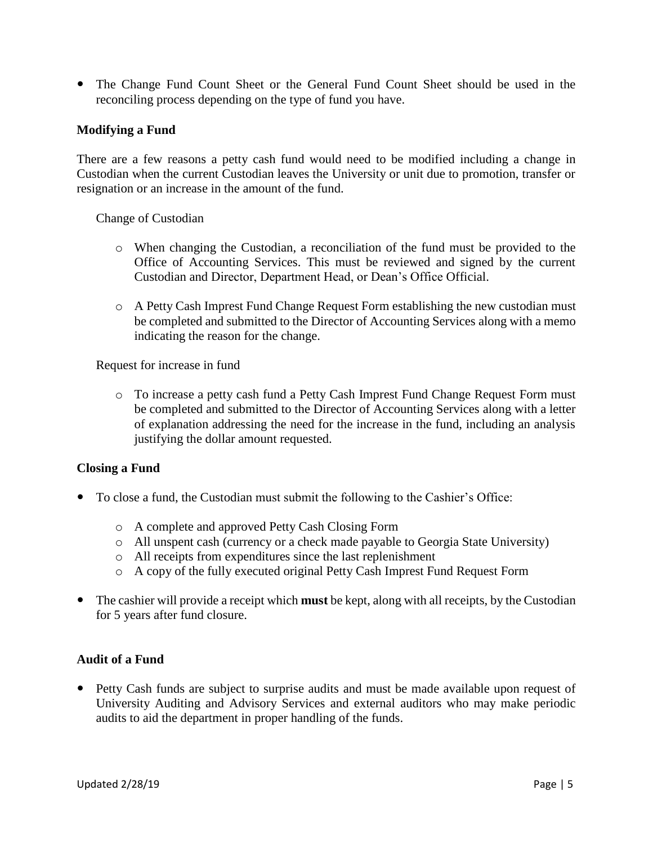The Change Fund Count Sheet or the General Fund Count Sheet should be used in the reconciling process depending on the type of fund you have.

#### **Modifying a Fund**

There are a few reasons a petty cash fund would need to be modified including a change in Custodian when the current Custodian leaves the University or unit due to promotion, transfer or resignation or an increase in the amount of the fund.

#### Change of Custodian

- o When changing the Custodian, a reconciliation of the fund must be provided to the Office of Accounting Services. This must be reviewed and signed by the current Custodian and Director, Department Head, or Dean's Office Official.
- o A Petty Cash Imprest Fund Change Request Form establishing the new custodian must be completed and submitted to the Director of Accounting Services along with a memo indicating the reason for the change.

Request for increase in fund

o To increase a petty cash fund a Petty Cash Imprest Fund Change Request Form must be completed and submitted to the Director of Accounting Services along with a letter of explanation addressing the need for the increase in the fund, including an analysis justifying the dollar amount requested.

#### **Closing a Fund**

- To close a fund, the Custodian must submit the following to the Cashier's Office:
	- o A complete and approved Petty Cash Closing Form
	- o All unspent cash (currency or a check made payable to Georgia State University)
	- o All receipts from expenditures since the last replenishment
	- o A copy of the fully executed original Petty Cash Imprest Fund Request Form
- The cashier will provide a receipt which **must** be kept, along with all receipts, by the Custodian for 5 years after fund closure.

#### **Audit of a Fund**

 Petty Cash funds are subject to surprise audits and must be made available upon request of University Auditing and Advisory Services and external auditors who may make periodic audits to aid the department in proper handling of the funds.